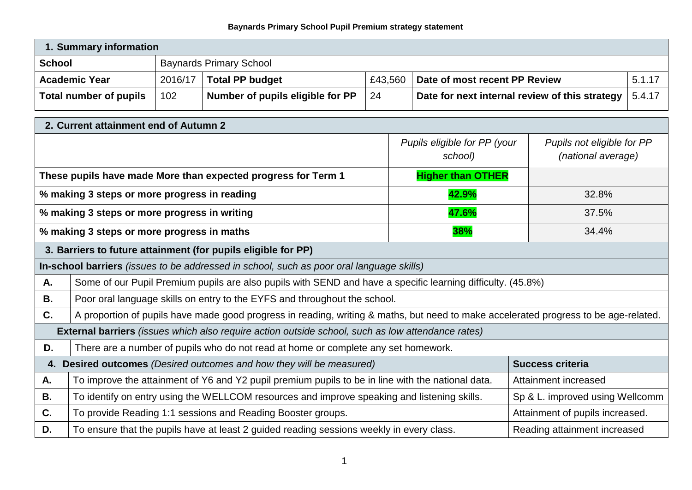## **Baynards Primary School Pupil Premium strategy statement**

| 1. Summary information |                                |                                  |         |                                                |  |
|------------------------|--------------------------------|----------------------------------|---------|------------------------------------------------|--|
| <b>School</b>          | <b>Baynards Primary School</b> |                                  |         |                                                |  |
| <b>Academic Year</b>   | 2016/17                        | <b>Total PP budget</b>           | £43.560 | Date of most recent PP Review                  |  |
| Total number of pupils | 102                            | Number of pupils eligible for PP | -24     | Date for next internal review of this strategy |  |

| 2. Current attainment end of Autumn 2                                                                     |                                                                                                                                      |                                         |                                                  |  |  |
|-----------------------------------------------------------------------------------------------------------|--------------------------------------------------------------------------------------------------------------------------------------|-----------------------------------------|--------------------------------------------------|--|--|
|                                                                                                           |                                                                                                                                      | Pupils eligible for PP (your<br>school) | Pupils not eligible for PP<br>(national average) |  |  |
|                                                                                                           | These pupils have made More than expected progress for Term 1                                                                        | <b>Higher than OTHER</b>                |                                                  |  |  |
|                                                                                                           | % making 3 steps or more progress in reading                                                                                         | 42.9%                                   | 32.8%                                            |  |  |
|                                                                                                           | % making 3 steps or more progress in writing                                                                                         | 47.6%                                   | 37.5%                                            |  |  |
|                                                                                                           | % making 3 steps or more progress in maths                                                                                           | 38%                                     | 34.4%                                            |  |  |
| 3. Barriers to future attainment (for pupils eligible for PP)                                             |                                                                                                                                      |                                         |                                                  |  |  |
| In-school barriers (issues to be addressed in school, such as poor oral language skills)                  |                                                                                                                                      |                                         |                                                  |  |  |
| Α.                                                                                                        | Some of our Pupil Premium pupils are also pupils with SEND and have a specific learning difficulty. (45.8%)                          |                                         |                                                  |  |  |
| <b>B.</b>                                                                                                 | Poor oral language skills on entry to the EYFS and throughout the school.                                                            |                                         |                                                  |  |  |
| C.                                                                                                        | A proportion of pupils have made good progress in reading, writing & maths, but need to make accelerated progress to be age-related. |                                         |                                                  |  |  |
| External barriers (issues which also require action outside school, such as low attendance rates)         |                                                                                                                                      |                                         |                                                  |  |  |
| D.<br>There are a number of pupils who do not read at home or complete any set homework.                  |                                                                                                                                      |                                         |                                                  |  |  |
| <b>Desired outcomes</b> (Desired outcomes and how they will be measured)<br><b>Success criteria</b><br>4. |                                                                                                                                      |                                         |                                                  |  |  |
| А.                                                                                                        | To improve the attainment of Y6 and Y2 pupil premium pupils to be in line with the national data.                                    | Attainment increased                    |                                                  |  |  |
| <b>B.</b>                                                                                                 | To identify on entry using the WELLCOM resources and improve speaking and listening skills.<br>Sp & L. improved using Wellcomm       |                                         |                                                  |  |  |
| C.                                                                                                        | To provide Reading 1:1 sessions and Reading Booster groups.<br>Attainment of pupils increased.                                       |                                         |                                                  |  |  |
| D.                                                                                                        | To ensure that the pupils have at least 2 guided reading sessions weekly in every class.<br>Reading attainment increased             |                                         |                                                  |  |  |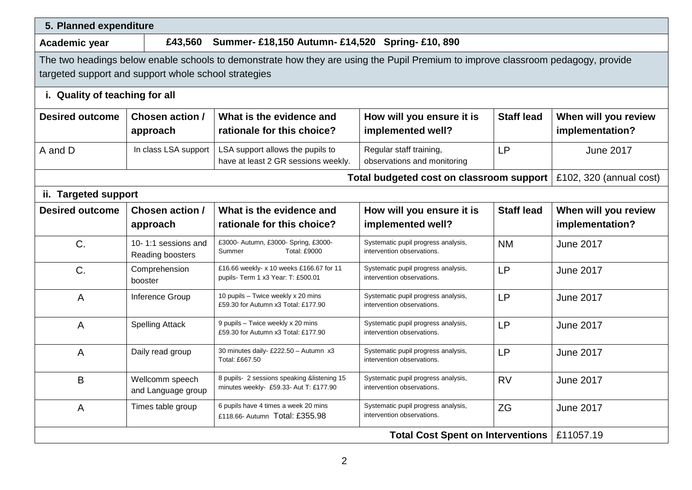| 5. Planned expenditure                                                                                                                                                                   |                                                             |                                                                                      |                                                                   |                   |                         |
|------------------------------------------------------------------------------------------------------------------------------------------------------------------------------------------|-------------------------------------------------------------|--------------------------------------------------------------------------------------|-------------------------------------------------------------------|-------------------|-------------------------|
| Academic year                                                                                                                                                                            | Summer- £18,150 Autumn- £14,520 Spring- £10, 890<br>£43,560 |                                                                                      |                                                                   |                   |                         |
| The two headings below enable schools to demonstrate how they are using the Pupil Premium to improve classroom pedagogy, provide<br>targeted support and support whole school strategies |                                                             |                                                                                      |                                                                   |                   |                         |
| i. Quality of teaching for all                                                                                                                                                           |                                                             |                                                                                      |                                                                   |                   |                         |
| <b>Desired outcome</b>                                                                                                                                                                   | <b>Chosen action /</b>                                      | What is the evidence and                                                             | How will you ensure it is                                         | <b>Staff lead</b> | When will you review    |
|                                                                                                                                                                                          | approach                                                    | rationale for this choice?                                                           | implemented well?                                                 |                   | implementation?         |
| A and D                                                                                                                                                                                  | In class LSA support                                        | LSA support allows the pupils to<br>have at least 2 GR sessions weekly.              | Regular staff training,<br>observations and monitoring            | <b>LP</b>         | <b>June 2017</b>        |
| Total budgeted cost on classroom support                                                                                                                                                 |                                                             |                                                                                      |                                                                   |                   | £102, 320 (annual cost) |
| ii. Targeted support                                                                                                                                                                     |                                                             |                                                                                      |                                                                   |                   |                         |
| <b>Desired outcome</b>                                                                                                                                                                   | <b>Chosen action /</b>                                      | What is the evidence and                                                             | How will you ensure it is                                         | <b>Staff lead</b> | When will you review    |
|                                                                                                                                                                                          | approach                                                    | rationale for this choice?                                                           | implemented well?                                                 |                   | implementation?         |
| C.                                                                                                                                                                                       | 10-1:1 sessions and<br>Reading boosters                     | £3000- Autumn, £3000- Spring, £3000-<br><b>Total: £9000</b><br>Summer                | Systematic pupil progress analysis,<br>intervention observations. | <b>NM</b>         | <b>June 2017</b>        |
| C.                                                                                                                                                                                       | Comprehension<br>booster                                    | £16.66 weekly- x 10 weeks £166.67 for 11<br>pupils- Term 1 x3 Year: T: £500.01       | Systematic pupil progress analysis,<br>intervention observations. | <b>LP</b>         | <b>June 2017</b>        |
| $\overline{A}$                                                                                                                                                                           | Inference Group                                             | 10 pupils - Twice weekly x 20 mins<br>£59.30 for Autumn x3 Total: £177.90            | Systematic pupil progress analysis,<br>intervention observations. | <b>LP</b>         | <b>June 2017</b>        |
| $\overline{A}$                                                                                                                                                                           | <b>Spelling Attack</b>                                      | 9 pupils - Twice weekly x 20 mins<br>£59.30 for Autumn x3 Total: £177.90             | Systematic pupil progress analysis,<br>intervention observations. | <b>LP</b>         | <b>June 2017</b>        |
| A                                                                                                                                                                                        | Daily read group                                            | 30 minutes daily- £222.50 - Autumn x3<br>Total: £667.50                              | Systematic pupil progress analysis,<br>intervention observations. | <b>LP</b>         | <b>June 2017</b>        |
| B                                                                                                                                                                                        | Wellcomm speech<br>and Language group                       | 8 pupils-2 sessions speaking &listening 15<br>minutes weekly- £59.33- Aut T: £177.90 | Systematic pupil progress analysis,<br>intervention observations. | <b>RV</b>         | <b>June 2017</b>        |
| A                                                                                                                                                                                        | Times table group                                           | 6 pupils have 4 times a week 20 mins<br>£118.66- Autumn Total: £355.98               | Systematic pupil progress analysis,<br>intervention observations. | <b>ZG</b>         | <b>June 2017</b>        |
| <b>Total Cost Spent on Interventions</b>                                                                                                                                                 |                                                             |                                                                                      |                                                                   | £11057.19         |                         |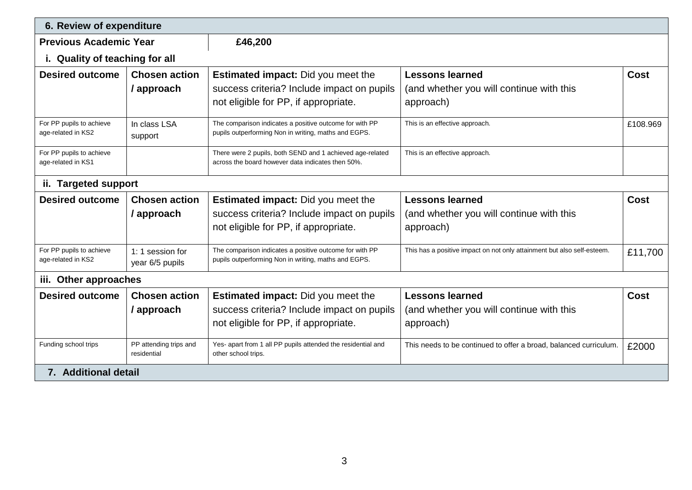| 6. Review of expenditure                       |                                       |                                                                                                                 |                                                                                    |             |  |  |
|------------------------------------------------|---------------------------------------|-----------------------------------------------------------------------------------------------------------------|------------------------------------------------------------------------------------|-------------|--|--|
| <b>Previous Academic Year</b>                  |                                       | £46,200                                                                                                         |                                                                                    |             |  |  |
| i. Quality of teaching for all                 |                                       |                                                                                                                 |                                                                                    |             |  |  |
| <b>Desired outcome</b>                         | <b>Chosen action</b>                  | <b>Estimated impact:</b> Did you meet the                                                                       | <b>Lessons learned</b>                                                             | <b>Cost</b> |  |  |
|                                                | / approach                            | success criteria? Include impact on pupils                                                                      | (and whether you will continue with this                                           |             |  |  |
|                                                |                                       | not eligible for PP, if appropriate.                                                                            | approach)                                                                          |             |  |  |
| For PP pupils to achieve<br>age-related in KS2 | In class LSA<br>support               | The comparison indicates a positive outcome for with PP<br>pupils outperforming Non in writing, maths and EGPS. | This is an effective approach.                                                     | £108.969    |  |  |
| For PP pupils to achieve<br>age-related in KS1 |                                       | There were 2 pupils, both SEND and 1 achieved age-related<br>across the board however data indicates then 50%.  | This is an effective approach.                                                     |             |  |  |
| ii. Targeted support                           |                                       |                                                                                                                 |                                                                                    |             |  |  |
| <b>Desired outcome</b>                         | <b>Chosen action</b>                  | <b>Estimated impact:</b> Did you meet the                                                                       | <b>Lessons learned</b>                                                             | <b>Cost</b> |  |  |
|                                                | / approach                            | success criteria? Include impact on pupils                                                                      | (and whether you will continue with this                                           |             |  |  |
|                                                |                                       | not eligible for PP, if appropriate.                                                                            | approach)                                                                          |             |  |  |
| For PP pupils to achieve<br>age-related in KS2 | 1: 1 session for<br>year 6/5 pupils   | The comparison indicates a positive outcome for with PP<br>pupils outperforming Non in writing, maths and EGPS. | This has a positive impact on not only attainment but also self-esteem.<br>£11,700 |             |  |  |
| iii. Other approaches                          |                                       |                                                                                                                 |                                                                                    |             |  |  |
| <b>Desired outcome</b>                         | <b>Chosen action</b>                  | <b>Estimated impact:</b> Did you meet the                                                                       | <b>Lessons learned</b>                                                             | Cost        |  |  |
|                                                | / approach                            | success criteria? Include impact on pupils                                                                      | (and whether you will continue with this                                           |             |  |  |
|                                                |                                       | not eligible for PP, if appropriate.                                                                            | approach)                                                                          |             |  |  |
| Funding school trips                           | PP attending trips and<br>residential | Yes- apart from 1 all PP pupils attended the residential and<br>other school trips.                             | This needs to be continued to offer a broad, balanced curriculum.                  | £2000       |  |  |
| 7. Additional detail                           |                                       |                                                                                                                 |                                                                                    |             |  |  |